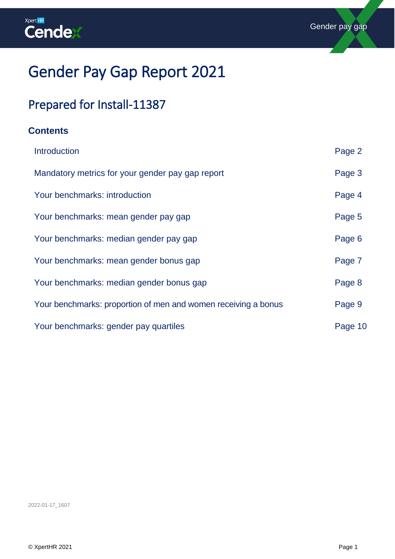

# Gender Pay Gap Report 2021

# Prepared for Install-11387

### **Contents**

| Introduction                                                   | Page 2  |
|----------------------------------------------------------------|---------|
| Mandatory metrics for your gender pay gap report               | Page 3  |
| Your benchmarks: introduction                                  | Page 4  |
| Your benchmarks: mean gender pay gap                           | Page 5  |
| Your benchmarks: median gender pay gap                         | Page 6  |
| Your benchmarks: mean gender bonus gap                         | Page 7  |
| Your benchmarks: median gender bonus gap                       | Page 8  |
| Your benchmarks: proportion of men and women receiving a bonus | Page 9  |
| Your benchmarks: gender pay quartiles                          | Page 10 |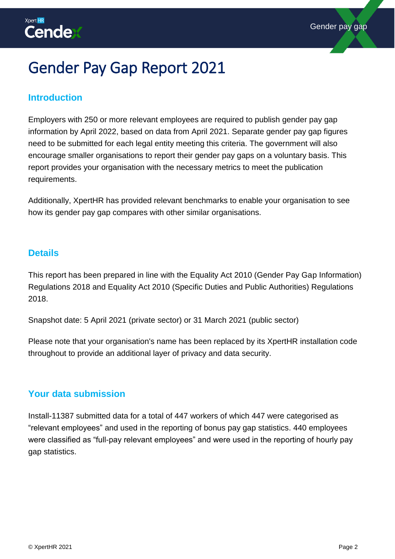# <span id="page-1-0"></span>Gender Pay Gap Report 2021

### **Introduction**

Employers with 250 or more relevant employees are required to publish gender pay gap information by April 2022, based on data from April 2021. Separate gender pay gap figures need to be submitted for each legal entity meeting this criteria. The government will also encourage smaller organisations to report their gender pay gaps on a voluntary basis. This report provides your organisation with the necessary metrics to meet the publication requirements.

Additionally, XpertHR has provided relevant benchmarks to enable your organisation to see how its gender pay gap compares with other similar organisations.

#### **Details**

This report has been prepared in line with the Equality Act 2010 (Gender Pay Gap Information) Regulations 2018 and Equality Act 2010 (Specific Duties and Public Authorities) Regulations 2018.

Snapshot date: 5 April 2021 (private sector) or 31 March 2021 (public sector)

Please note that your organisation's name has been replaced by its XpertHR installation code throughout to provide an additional layer of privacy and data security.

### **Your data submission**

Install-11387 submitted data for a total of 447 workers of which 447 were categorised as "relevant employees" and used in the reporting of bonus pay gap statistics. 440 employees were classified as "full-pay relevant employees" and were used in the reporting of hourly pay gap statistics.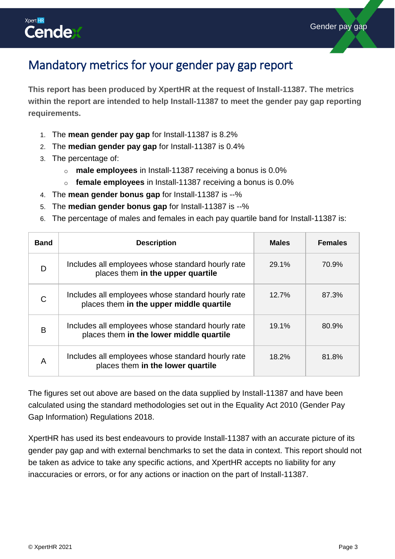

## <span id="page-2-0"></span>Mandatory metrics for your gender pay gap report

**This report has been produced by XpertHR at the request of Install-11387. The metrics within the report are intended to help Install-11387 to meet the gender pay gap reporting requirements.** 

- 1. The **mean gender pay gap** for Install-11387 is 8.2%
- 2. The **median gender pay gap** for Install-11387 is 0.4%
- 3. The percentage of:
	- o **male employees** in Install-11387 receiving a bonus is 0.0%
	- o **female employees** in Install-11387 receiving a bonus is 0.0%
- 4. The **mean gender bonus gap** for Install-11387 is --%
- 5. The **median gender bonus gap** for Install-11387 is --%
- 6. The percentage of males and females in each pay quartile band for Install-11387 is:

| <b>Band</b> | <b>Description</b>                                                                            | <b>Males</b> | <b>Females</b> |
|-------------|-----------------------------------------------------------------------------------------------|--------------|----------------|
| D           | Includes all employees whose standard hourly rate<br>places them in the upper quartile        | $29.1\%$     | 70.9%          |
| C           | Includes all employees whose standard hourly rate<br>places them in the upper middle quartile | 12.7%        | 87.3%          |
| B           | Includes all employees whose standard hourly rate<br>places them in the lower middle quartile | 19.1%        | 80.9%          |
| A           | Includes all employees whose standard hourly rate<br>places them in the lower quartile        | 18.2%        | 81.8%          |

The figures set out above are based on the data supplied by Install-11387 and have been calculated using the standard methodologies set out in the Equality Act 2010 (Gender Pay Gap Information) Regulations 2018.

XpertHR has used its best endeavours to provide Install-11387 with an accurate picture of its gender pay gap and with external benchmarks to set the data in context. This report should not be taken as advice to take any specific actions, and XpertHR accepts no liability for any inaccuracies or errors, or for any actions or inaction on the part of Install-11387.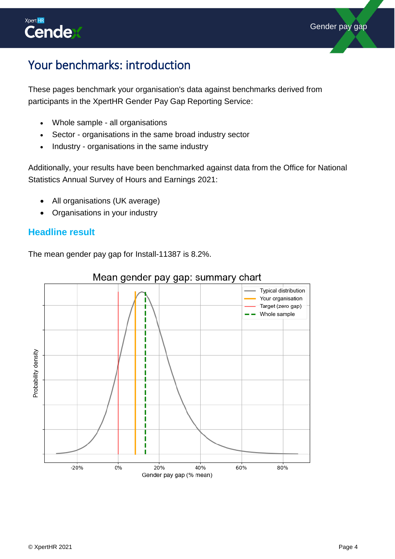

# <span id="page-3-0"></span>Your benchmarks: introduction

These pages benchmark your organisation's data against benchmarks derived from participants in the XpertHR Gender Pay Gap Reporting Service:

- Whole sample all organisations
- Sector organisations in the same broad industry sector
- Industry organisations in the same industry

Additionally, your results have been benchmarked against data from the Office for National Statistics Annual Survey of Hours and Earnings 2021:

- All organisations (UK average)
- Organisations in your industry

### **Headline result**

The mean gender pay gap for Install-11387 is 8.2%.



### Mean gender pay gap: summary chart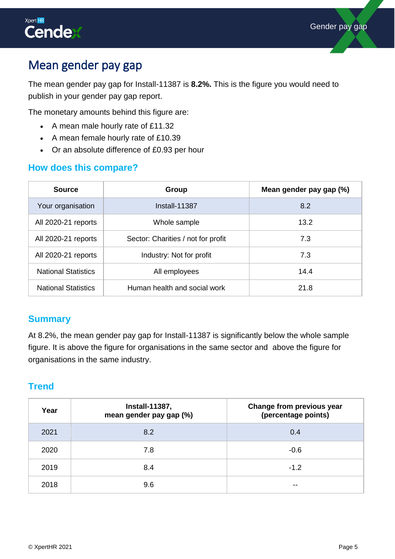

# <span id="page-4-0"></span>Mean gender pay gap

The mean gender pay gap for Install-11387 is **8.2%.** This is the figure you would need to publish in your gender pay gap report.

The monetary amounts behind this figure are:

- A mean male hourly rate of £11.32
- A mean female hourly rate of £10.39
- Or an absolute difference of £0.93 per hour

### **How does this compare?**

| <b>Source</b>              | Group                              | Mean gender pay gap (%) |
|----------------------------|------------------------------------|-------------------------|
| Your organisation          | Install-11387                      | 8.2                     |
| All 2020-21 reports        | Whole sample                       | 13.2                    |
| All 2020-21 reports        | Sector: Charities / not for profit | 7.3                     |
| All 2020-21 reports        | Industry: Not for profit           | 7.3                     |
| <b>National Statistics</b> | All employees                      | 14.4                    |
| <b>National Statistics</b> | Human health and social work       | 21.8                    |

#### **Summary**

At 8.2%, the mean gender pay gap for Install-11387 is significantly below the whole sample figure. It is above the figure for organisations in the same sector and above the figure for organisations in the same industry.

<span id="page-4-1"></span>

| <b>Install-11387,</b><br>Year<br>mean gender pay gap (%) |     |        |  | Change from previous year<br>(percentage points) |
|----------------------------------------------------------|-----|--------|--|--------------------------------------------------|
| 2021                                                     | 8.2 | 0.4    |  |                                                  |
| 2020                                                     | 7.8 | $-0.6$ |  |                                                  |
| 2019                                                     | 8.4 | $-1.2$ |  |                                                  |
| 2018                                                     | 9.6 | --     |  |                                                  |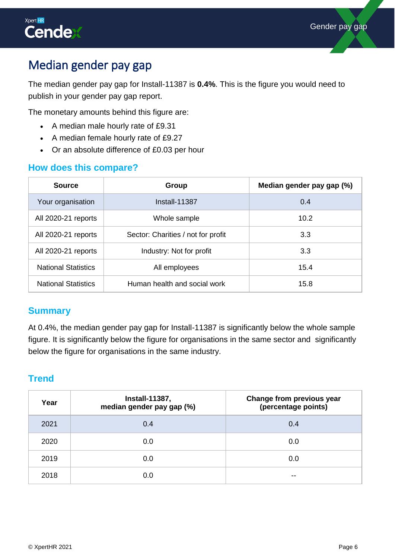

# Median gender pay gap

The median gender pay gap for Install-11387 is **0.4%**. This is the figure you would need to publish in your gender pay gap report.

The monetary amounts behind this figure are:

- A median male hourly rate of £9.31
- A median female hourly rate of £9.27
- Or an absolute difference of £0.03 per hour

### **How does this compare?**

| <b>Source</b>              | Group                              | Median gender pay gap (%) |
|----------------------------|------------------------------------|---------------------------|
| Your organisation          | Install-11387                      | 0.4                       |
| All 2020-21 reports        | Whole sample                       | 10.2                      |
| All 2020-21 reports        | Sector: Charities / not for profit | 3.3                       |
| All 2020-21 reports        | Industry: Not for profit           | 3.3                       |
| <b>National Statistics</b> | All employees                      | 15.4                      |
| <b>National Statistics</b> | Human health and social work       | 15.8                      |

#### **Summary**

At 0.4%, the median gender pay gap for Install-11387 is significantly below the whole sample figure. It is significantly below the figure for organisations in the same sector and significantly below the figure for organisations in the same industry.

<span id="page-5-0"></span>

| Year | <b>Install-11387,</b><br>median gender pay gap (%) | Change from previous year<br>(percentage points) |
|------|----------------------------------------------------|--------------------------------------------------|
| 2021 | 0.4                                                | 0.4                                              |
| 2020 | 0.0                                                | 0.0                                              |
| 2019 | 0.0                                                | 0.0                                              |
| 2018 | 0.0                                                | --                                               |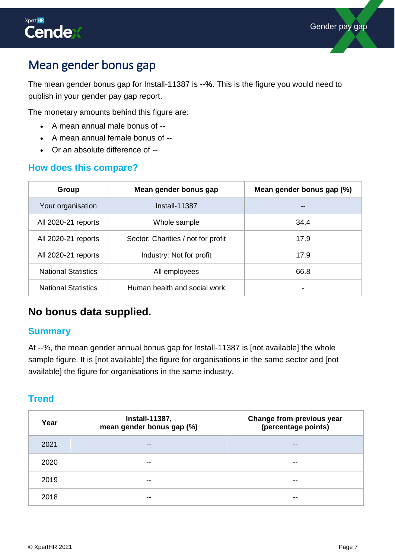# Mean gender bonus gap

The mean gender bonus gap for Install-11387 is **--%**. This is the figure you would need to publish in your gender pay gap report.

The monetary amounts behind this figure are:

- A mean annual male bonus of --
- A mean annual female bonus of --
- Or an absolute difference of --

### **How does this compare?**

| Group                      | Mean gender bonus gap              | Mean gender bonus gap (%) |
|----------------------------|------------------------------------|---------------------------|
| Your organisation          | Install-11387                      |                           |
| All 2020-21 reports        | Whole sample                       | 34.4                      |
| All 2020-21 reports        | Sector: Charities / not for profit | 17.9                      |
| All 2020-21 reports        | Industry: Not for profit           | 17.9                      |
| <b>National Statistics</b> | All employees                      | 66.8                      |
| <b>National Statistics</b> | Human health and social work       | -                         |

## **No bonus data supplied.**

### **Summary**

At --%, the mean gender annual bonus gap for Install-11387 is [not available] the whole sample figure. It is [not available] the figure for organisations in the same sector and [not available] the figure for organisations in the same industry.

<span id="page-6-0"></span>

| Year | <b>Install-11387,</b><br>mean gender bonus gap (%) | Change from previous year<br>(percentage points) |
|------|----------------------------------------------------|--------------------------------------------------|
| 2021 | $- -$                                              | $- -$                                            |
| 2020 | $- -$                                              | $- -$                                            |
| 2019 | --                                                 | $- -$                                            |
| 2018 |                                                    | --                                               |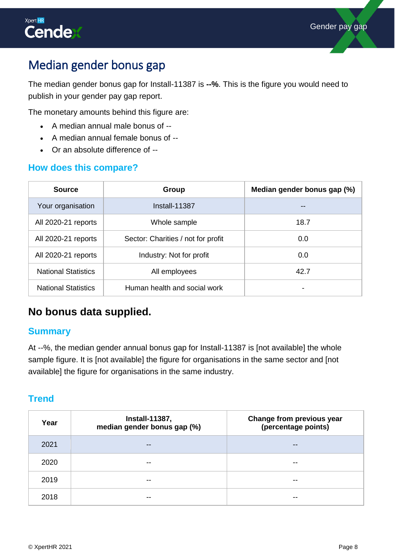# Median gender bonus gap

The median gender bonus gap for Install-11387 is **--%**. This is the figure you would need to publish in your gender pay gap report.

The monetary amounts behind this figure are:

- A median annual male bonus of --
- A median annual female bonus of --
- Or an absolute difference of --

### **How does this compare?**

| <b>Source</b>                                                    | Group                        | Median gender bonus gap (%) |
|------------------------------------------------------------------|------------------------------|-----------------------------|
| Your organisation                                                | $Install-11387$              |                             |
| All 2020-21 reports                                              | Whole sample                 | 18.7                        |
| All 2020-21 reports<br>Sector: Charities / not for profit<br>0.0 |                              |                             |
| All 2020-21 reports                                              | Industry: Not for profit     | 0.0                         |
| <b>National Statistics</b>                                       | All employees                | 42.7                        |
| <b>National Statistics</b>                                       | Human health and social work | -                           |

## **No bonus data supplied.**

### **Summary**

At --%, the median gender annual bonus gap for Install-11387 is [not available] the whole sample figure. It is [not available] the figure for organisations in the same sector and [not available] the figure for organisations in the same industry.

<span id="page-7-0"></span>

| Year | <b>Install-11387,</b><br>median gender bonus gap (%) | Change from previous year<br>(percentage points) |
|------|------------------------------------------------------|--------------------------------------------------|
| 2021 | $- -$                                                | $- -$                                            |
| 2020 | $- -$                                                | $- -$                                            |
| 2019 | --                                                   | --                                               |
| 2018 | --                                                   | --                                               |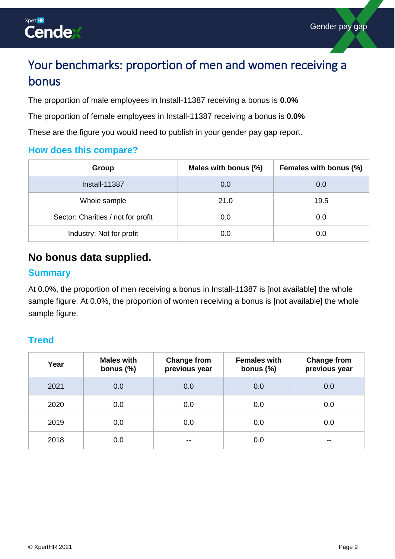

# Your benchmarks: proportion of men and women receiving a bonus

The proportion of male employees in Install-11387 receiving a bonus is **0.0%**

The proportion of female employees in Install-11387 receiving a bonus is **0.0%**

These are the figure you would need to publish in your gender pay gap report.

### **How does this compare?**

| Group                              | Males with bonus (%) | Females with bonus (%) |
|------------------------------------|----------------------|------------------------|
| <b>Install-11387</b>               | 0.0                  | 0.0                    |
| Whole sample                       | 21.0                 | 19.5                   |
| Sector: Charities / not for profit | 0.0                  | 0.0                    |
| Industry: Not for profit           | 0.0                  | 0.0                    |

## **No bonus data supplied.**

#### **Summary**

At 0.0%, the proportion of men receiving a bonus in Install-11387 is [not available] the whole sample figure. At 0.0%, the proportion of women receiving a bonus is [not available] the whole sample figure.

<span id="page-8-0"></span>

| Year | <b>Males with</b><br>bonus $(\%)$ | <b>Change from</b><br>previous year | <b>Females with</b><br>bonus $(\%)$ | <b>Change from</b><br>previous year |
|------|-----------------------------------|-------------------------------------|-------------------------------------|-------------------------------------|
| 2021 | 0.0                               | 0.0                                 | 0.0                                 | 0.0                                 |
| 2020 | 0.0                               | 0.0                                 | 0.0                                 | 0.0                                 |
| 2019 | 0.0                               | 0.0                                 | 0.0                                 | 0.0                                 |
| 2018 | 0.0                               | $- -$                               | 0.0                                 | $- -$                               |